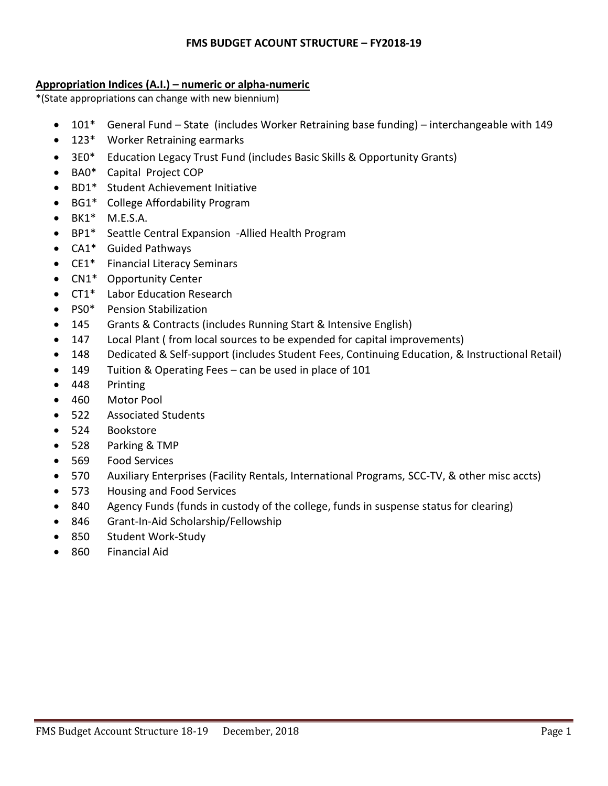### **FMS BUDGET ACOUNT STRUCTURE – FY2018-19**

### **Appropriation Indices (A.I.) – numeric or alpha-numeric**

\*(State appropriations can change with new biennium)

- 101\* General Fund State (includes Worker Retraining base funding) interchangeable with 149
- 123\* Worker Retraining earmarks
- 3E0\* Education Legacy Trust Fund (includes Basic Skills & Opportunity Grants)
- BA0\* Capital Project COP
- BD1\* Student Achievement Initiative
- BG1\* College Affordability Program
- $\bullet$  BK1\* M.E.S.A.
- BP1\* Seattle Central Expansion -Allied Health Program
- CA1\* Guided Pathways
- CE1\* Financial Literacy Seminars
- CN1\* Opportunity Center
- CT1\* Labor Education Research
- PS0<sup>\*</sup> Pension Stabilization
- 145 Grants & Contracts (includes Running Start & Intensive English)
- 147 Local Plant ( from local sources to be expended for capital improvements)
- 148 Dedicated & Self-support (includes Student Fees, Continuing Education, & Instructional Retail)
- 149 Tuition & Operating Fees can be used in place of 101
- 448 Printing
- 460 Motor Pool
- 522 Associated Students
- 524 Bookstore
- 528 Parking & TMP
- 569 Food Services
- 570 Auxiliary Enterprises (Facility Rentals, International Programs, SCC-TV, & other misc accts)
- 573 Housing and Food Services
- 840 Agency Funds (funds in custody of the college, funds in suspense status for clearing)
- 846 Grant-In-Aid Scholarship/Fellowship
- 850 Student Work-Study
- 860 Financial Aid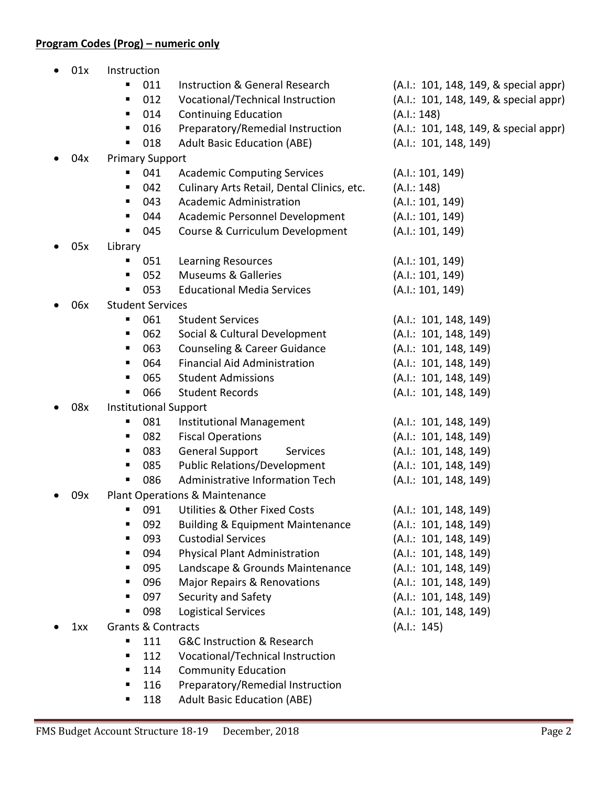## **Program Codes (Prog) – numeric only**

| 01x | Instruction                   |                                             |                                       |
|-----|-------------------------------|---------------------------------------------|---------------------------------------|
|     | 011<br>п                      | <b>Instruction &amp; General Research</b>   | (A.I.: 101, 148, 149, & special appr) |
|     | 012<br>Е                      | Vocational/Technical Instruction            | (A.I.: 101, 148, 149, & special appr) |
|     | 014<br>п                      | <b>Continuing Education</b>                 | (A.I.: 148)                           |
|     | 016                           | Preparatory/Remedial Instruction            | (A.I.: 101, 148, 149, & special appr) |
|     | 018<br>п                      | <b>Adult Basic Education (ABE)</b>          | (A.I.: 101, 148, 149)                 |
| 04x | <b>Primary Support</b>        |                                             |                                       |
|     | 041<br>п                      | <b>Academic Computing Services</b>          | (A.I.: 101, 149)                      |
|     | 042<br>٠                      | Culinary Arts Retail, Dental Clinics, etc.  | (A.I.: 148)                           |
|     | 043<br>п                      | <b>Academic Administration</b>              | (A.I.: 101, 149)                      |
|     | 044<br>п                      | Academic Personnel Development              | (A.I.: 101, 149)                      |
|     | 045<br>п                      | Course & Curriculum Development             | (A.I.: 101, 149)                      |
| 05x | Library                       |                                             |                                       |
|     | 051                           | <b>Learning Resources</b>                   | (A.I.: 101, 149)                      |
|     | 052<br>п                      | <b>Museums &amp; Galleries</b>              | (A.I.: 101, 149)                      |
|     | 053<br>п                      | <b>Educational Media Services</b>           | (A.I.: 101, 149)                      |
| 06x | <b>Student Services</b>       |                                             |                                       |
|     | 061<br>п                      | <b>Student Services</b>                     | (A.I.: 101, 148, 149)                 |
|     | 062<br>Е                      | Social & Cultural Development               | (A.I.: 101, 148, 149)                 |
|     | 063<br>Е                      | <b>Counseling &amp; Career Guidance</b>     | (A.I.: 101, 148, 149)                 |
|     | 064<br>п                      | <b>Financial Aid Administration</b>         | (A.I.: 101, 148, 149)                 |
|     | 065<br>٠                      | <b>Student Admissions</b>                   | (A.I.: 101, 148, 149)                 |
|     | 066<br>п                      | <b>Student Records</b>                      | (A.I.: 101, 148, 149)                 |
| 08x | <b>Institutional Support</b>  |                                             |                                       |
|     | 081<br>п                      | Institutional Management                    | (A.I.: 101, 148, 149)                 |
|     | 082<br>п                      | <b>Fiscal Operations</b>                    | (A.I.: 101, 148, 149)                 |
|     | 083<br>٠                      | <b>General Support</b><br>Services          | (A.I.: 101, 148, 149)                 |
|     | 085<br>п                      | <b>Public Relations/Development</b>         | (A.I.: 101, 148, 149)                 |
|     | 086<br>п                      | Administrative Information Tech             | (A.I.: 101, 148, 149)                 |
| 09x |                               | Plant Operations & Maintenance              |                                       |
|     | 091                           | <b>Utilities &amp; Other Fixed Costs</b>    | (A.I.: 101, 148, 149)                 |
|     | 092                           | <b>Building &amp; Equipment Maintenance</b> | (A.I.: 101, 148, 149)                 |
|     | 093<br>٠                      | <b>Custodial Services</b>                   | (A.I.: 101, 148, 149)                 |
|     | 094<br>п                      | Physical Plant Administration               | (A.I.: 101, 148, 149)                 |
|     | 095<br>п                      | Landscape & Grounds Maintenance             | (A.I.: 101, 148, 149)                 |
|     | 096<br>п                      | <b>Major Repairs &amp; Renovations</b>      | (A.I.: 101, 148, 149)                 |
|     | 097<br>٠                      | Security and Safety                         | (A.I.: 101, 148, 149)                 |
|     | 098<br>٠                      | <b>Logistical Services</b>                  | (A.I.: 101, 148, 149)                 |
| 1xx | <b>Grants &amp; Contracts</b> |                                             | (A.I.: 145)                           |
|     | 111<br>п                      | <b>G&amp;C Instruction &amp; Research</b>   |                                       |
|     | 112<br>п                      | Vocational/Technical Instruction            |                                       |
|     | 114<br>п                      | <b>Community Education</b>                  |                                       |
|     | 116<br>п                      | Preparatory/Remedial Instruction            |                                       |

**118** Adult Basic Education (ABE)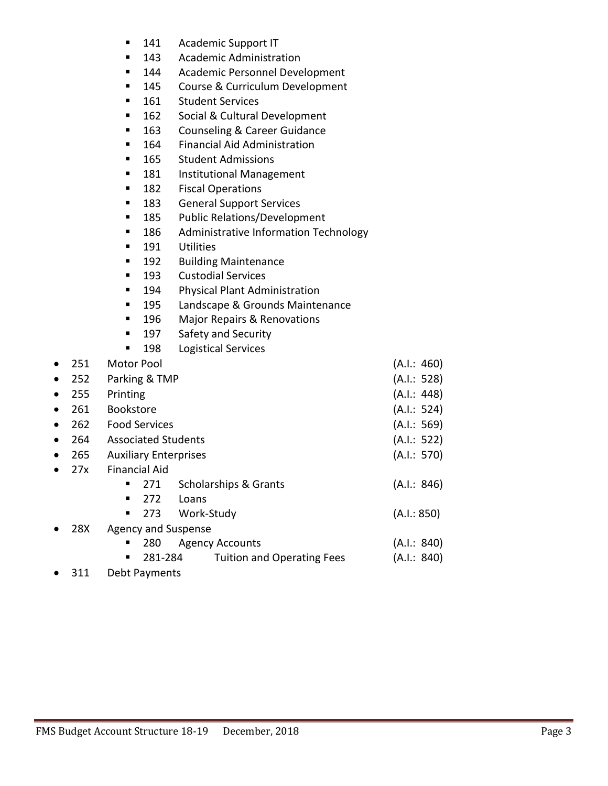- 141 Academic Support IT
- 143 Academic Administration
- 144 Academic Personnel Development
- 145 Course & Curriculum Development
- 161 Student Services
- 162 Social & Cultural Development
- 163 Counseling & Career Guidance
- 164 Financial Aid Administration
- 165 Student Admissions
- **181** Institutional Management
- **182** Fiscal Operations
- **183** General Support Services
- **185** Public Relations/Development
- 186 Administrative Information Technology
- **191** Utilities
- **192** Building Maintenance
- **193** Custodial Services
- 194 Physical Plant Administration
- 195 Landscape & Grounds Maintenance
- 196 Major Repairs & Renovations
- 197 Safety and Security
- **198** Logistical Services

| $\bullet$ | 251 | <b>Motor Pool</b>                            | (A.I.: 460) |
|-----------|-----|----------------------------------------------|-------------|
| $\bullet$ | 252 | Parking & TMP                                | (A.I.: 528) |
| $\bullet$ | 255 | Printing                                     | (A.I.: 448) |
| $\bullet$ | 261 | <b>Bookstore</b>                             | (A.I.: 524) |
| $\bullet$ | 262 | <b>Food Services</b>                         | (A.I.: 569) |
| $\bullet$ | 264 | <b>Associated Students</b>                   | (A.I.: 522) |
| $\bullet$ | 265 | <b>Auxiliary Enterprises</b>                 | (A.I.: 570) |
|           | 27x | <b>Financial Aid</b>                         |             |
|           |     | <b>Scholarships &amp; Grants</b><br>271<br>п | (A.I.: 846) |
|           |     | 272<br>Loans                                 |             |
|           |     | 273<br>Work-Study<br>п                       | (A.I.: 850) |
| $\bullet$ | 28X | <b>Agency and Suspense</b>                   |             |
|           |     | 280<br><b>Agency Accounts</b><br>п           | (A.I.: 840) |
|           |     | 281-284<br><b>Tuition and Operating Fees</b> | (A.I.: 840) |

• 311 Debt Payments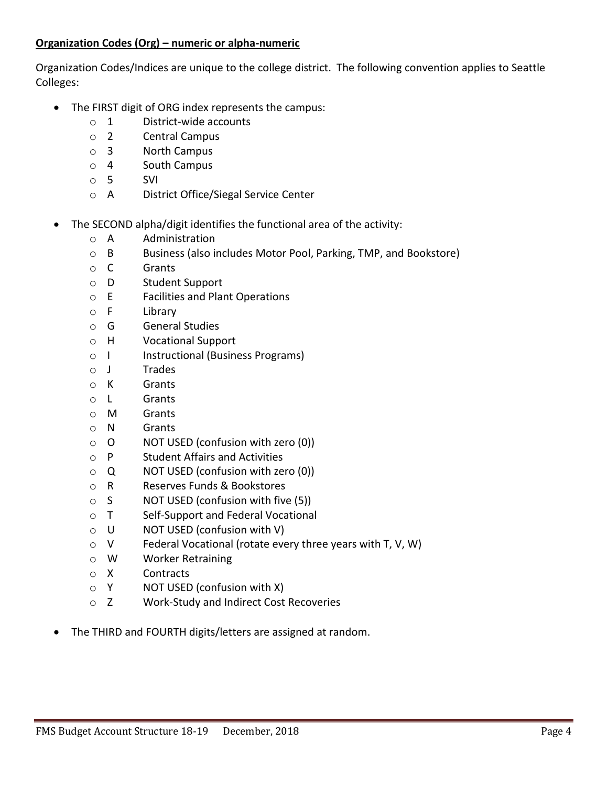## **Organization Codes (Org) – numeric or alpha-numeric**

Organization Codes/Indices are unique to the college district. The following convention applies to Seattle Colleges:

- The FIRST digit of ORG index represents the campus:
	- o 1 District-wide accounts
	- o 2 Central Campus
	- o 3 North Campus
	- o 4 South Campus
	- o 5 SVI
	- o A District Office/Siegal Service Center
- The SECOND alpha/digit identifies the functional area of the activity:
	- o A Administration
	- o B Business (also includes Motor Pool, Parking, TMP, and Bookstore)
	- o C Grants
	- o D Student Support
	- o E Facilities and Plant Operations
	- o F Library
	- o G General Studies
	- o H Vocational Support
	- o I Instructional (Business Programs)
	- o J Trades
	- o K Grants
	- o L Grants
	- o M Grants
	- o N Grants
	- o O NOT USED (confusion with zero (0))
	- o P Student Affairs and Activities
	- o Q NOT USED (confusion with zero (0))
	- o R Reserves Funds & Bookstores
	- o S NOT USED (confusion with five (5))
	- o T Self-Support and Federal Vocational
	- o U NOT USED (confusion with V)
	- o V Federal Vocational (rotate every three years with T, V, W)
	- o W Worker Retraining
	- o X Contracts
	- $\circ$  Y NOT USED (confusion with X)
	- o Z Work-Study and Indirect Cost Recoveries
- The THIRD and FOURTH digits/letters are assigned at random.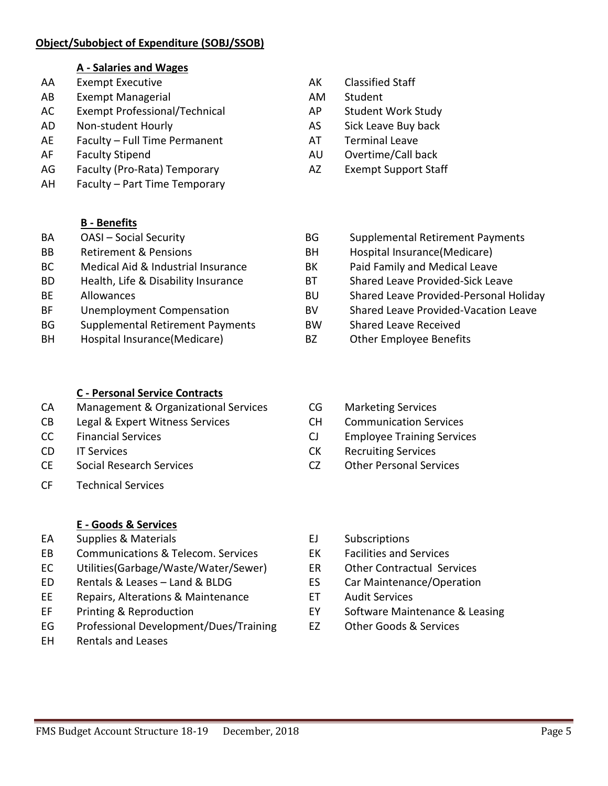## **Object/Subobject of Expenditure (SOBJ/SSOB)**

### **A - Salaries and Wages**

- AA Exempt Executive **AK** Classified Staff
- AB Exempt Managerial **AM** Student
- AC Exempt Professional/Technical AP Student Work Study
- AD Non-student Hourly **AS** Sick Leave Buy back
- AE Faculty Full Time Permanent AT Terminal Leave
- 
- AG Faculty (Pro-Rata) Temporary Manuel AZ Exempt Support Staff
- AH Faculty Part Time Temporary

## **B - Benefits**

- 
- 
- 
- 
- 
- 
- BG Supplemental Retirement Payments BW Shared Leave Received
- BH Hospital Insurance(Medicare) BZ Other Employee Benefits
	- **C - Personal Service Contracts**
- CA Management & Organizational Services CG Marketing Services
- CB Legal & Expert Witness Services CH Communication Services
- 
- CD IT Services
- CE Social Research Services
- CF Technical Services

# **E - Goods & Services**

- EA Supplies & Materials **ELA** Subscriptions
- EB Communications & Telecom. Services EK Facilities and Services
- EC Utilities(Garbage/Waste/Water/Sewer) ER Other Contractual Services
- ED Rentals & Leases Land & BLDG ES Car Maintenance/Operation
- EE Repairs, Alterations & Maintenance ET Audit Services
- 
- EG Professional Development/Dues/Training EZ Other Goods & Services
- EH Rentals and Leases
- 
- 
- 
- 
- 
- AF Faculty Stipend AU Overtime/Call back
	-
- BA CASI Social Security Case Control BG Supplemental Retirement Payments
- BB Retirement & Pensions BH Hospital Insurance(Medicare)
- BC Medical Aid & Industrial Insurance BK Paid Family and Medical Leave
- BD Health, Life & Disability Insurance BT Shared Leave Provided-Sick Leave
- BE Allowances BU Shared Leave Provided-Personal Holiday
- BF Unemployment Compensation BV Shared Leave Provided-Vacation Leave
	-
	-
	-
	-
- CC Financial Services CJ Employee Training Services
	- CK Recruiting Services
	- CZ Other Personal Services
	-
	-
	-
	-
	-
- EF Printing & Reproduction EY Software Maintenance & Leasing
	-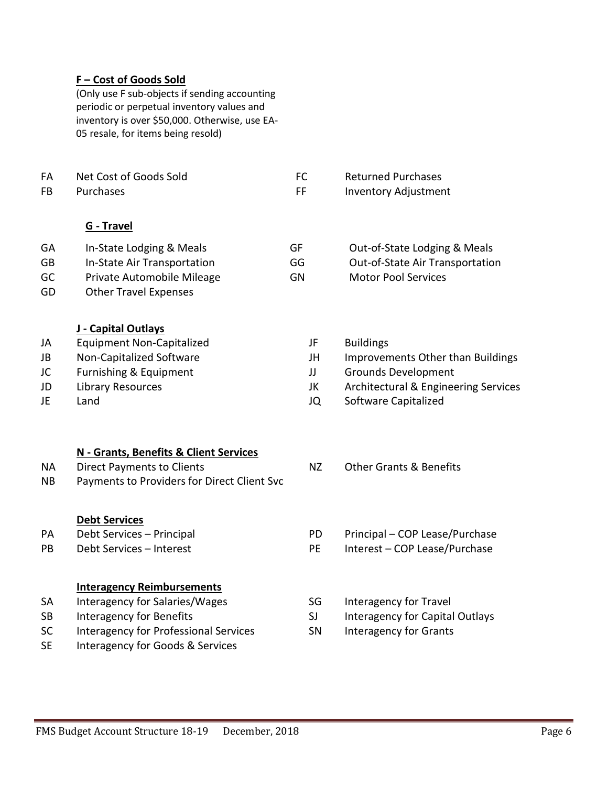### **F – Cost of Goods Sold**

(Only use F sub-objects if sending accounting periodic or perpetual inventory values and inventory is over \$50,000. Otherwise, use EA-05 resale, for items being resold)

- FA Net Cost of Goods Sold FC Returned Purchases FB Purchases **FR** Inventory Adjustment **G - Travel** GA In-State Lodging & Meals GF Out-of-State Lodging & Meals GB In-State Air Transportation GG Out-of-State Air Transportation GC Private Automobile Mileage GN GN Motor Pool Services
- GD Other Travel Expenses

### **J - Capital Outlays**

| JA | Equipment Non-Capitalized | JF | <b>Buildings</b>          |
|----|---------------------------|----|---------------------------|
| JB | Non-Capitalized Software  | JH | Improvements Other        |
| JC | Furnishing & Equipment    |    | <b>Grounds Developmer</b> |
| JD | Library Resources         | JK | Architectural & Engin     |
| JE | Land                      | JQ | Software Capitalized      |

### **N - Grants, Benefits & Client Services**

NA Direct Payments to Clients NIC NE NE Other Grants & Benefits NB Payments to Providers for Direct Client Svc

### **Debt Services**

| PA | Debt Services - Principal         |  |  |
|----|-----------------------------------|--|--|
| PB | Debt Services – Interest          |  |  |
|    |                                   |  |  |
|    |                                   |  |  |
|    |                                   |  |  |
|    | <b>Interagency Reimbursements</b> |  |  |
| SA | Interagency for Salaries/Wages    |  |  |

- SC Interagency for Professional Services SN Interagency for Grants
- SE Interagency for Goods & Services
- rovements Other than Buildings unds Development hitectural & Engineering Services
	-
	-
	-
- PD Principal COP Lease/Purchase PE Interest – COP Lease/Purchase
- SG Interagency for Travel
- SJ Interagency for Capital Outlays
-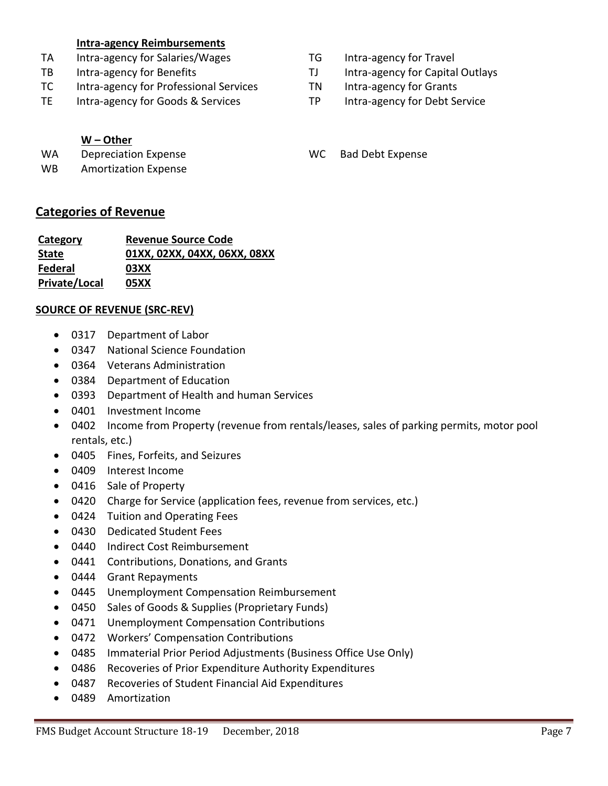### **Intra-agency Reimbursements**

- TA Intra-agency for Salaries/Wages TG Intra-agency for Travel
- 
- TC Intra-agency for Professional Services TN Intra-agency for Grants
- TE Intra-agency for Goods & Services TP Intra-agency for Debt Service

### **W – Other**

WA Depreciation Expense WC Bad Debt Expense

WB Amortization Expense

### **Categories of Revenue**

| Category      | <b>Revenue Source Code</b>   |  |  |
|---------------|------------------------------|--|--|
| <b>State</b>  | 01XX, 02XX, 04XX, 06XX, 08XX |  |  |
| Federal       | 03XX                         |  |  |
| Private/Local | 05XX                         |  |  |

#### **SOURCE OF REVENUE (SRC-REV)**

- 0317 Department of Labor
- 0347 National Science Foundation
- 0364 Veterans Administration
- 0384 Department of Education
- 0393 Department of Health and human Services
- 0401 Investment Income
- 0402 Income from Property (revenue from rentals/leases, sales of parking permits, motor pool rentals, etc.)
- 0405 Fines, Forfeits, and Seizures
- 0409 Interest Income
- 0416 Sale of Property
- 0420 Charge for Service (application fees, revenue from services, etc.)
- 0424 Tuition and Operating Fees
- 0430 Dedicated Student Fees
- 0440 Indirect Cost Reimbursement
- 0441 Contributions, Donations, and Grants
- 0444 Grant Repayments
- 0445 Unemployment Compensation Reimbursement
- 0450 Sales of Goods & Supplies (Proprietary Funds)
- 0471 Unemployment Compensation Contributions
- 0472 Workers' Compensation Contributions
- 0485 Immaterial Prior Period Adjustments (Business Office Use Only)
- 0486 Recoveries of Prior Expenditure Authority Expenditures
- 0487 Recoveries of Student Financial Aid Expenditures
- 0489 Amortization
- 
- TB Intra-agency for Benefits TJ Intra-agency for Capital Outlays
	-
	-